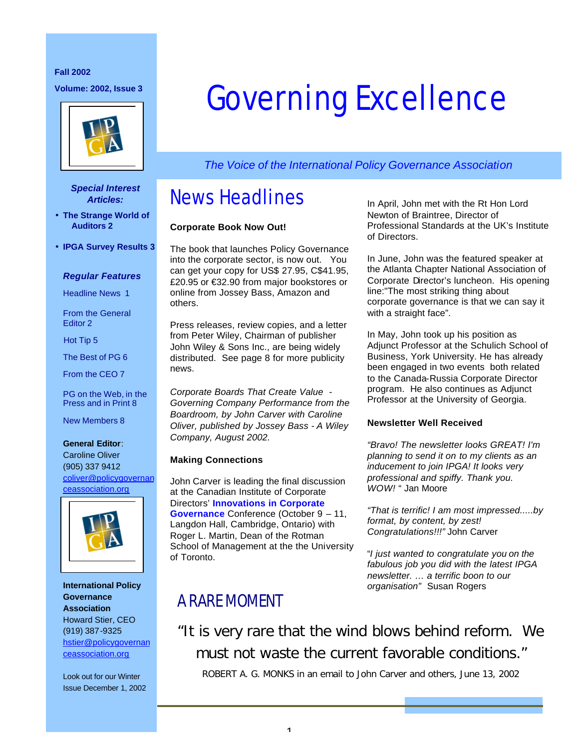# **Fall 2002**



#### *Special Interest Articles:*

- **The Strange World of Auditors 2**
- **IPGA Survey Results 3**

#### *Regular Features*

Headline News 1

From the General Editor 2

Hot Tip 5

The Best of PG 6

From the CEO 7

PG on the Web, in the Press and in Print 8

New Members 8

**General Editor**: Caroline Oliver (905) 337 9412 coliver@policygovernan ceassociation.org



**International Policy Governance Association** Howard Stier, CEO (919) 387-9325 hstier@policygovernan ceassociation.org

Look out for our Winter Issue December 1, 2002

# Volume: 2002, Issue 3<br> **Governing Excellence**

*The Voice of the International Policy Governance Association*

# News Headlines

#### **Corporate Book Now Out!**

The book that launches Policy Governance into the corporate sector, is now out. You can get your copy for US\$ 27.95, C\$41.95, £20.95 or €32.90 from major bookstores or online from Jossey Bass, Amazon and others.

Press releases, review copies, and a letter from Peter Wiley, Chairman of publisher John Wiley & Sons Inc., are being widely distributed. See page 8 for more publicity news.

*Corporate Boards That Create Value - Governing Company Performance from the Boardroom, by John Carver with Caroline Oliver, published by Jossey Bass - A Wiley Company, August 2002.*

#### **Making Connections**

John Carver is leading the final discussion at the Canadian Institute of Corporate Directors' **Innovations in Corporate Governance** Conference (October 9 – 11,

Langdon Hall, Cambridge, Ontario) with Roger L. Martin, Dean of the Rotman School of Management at the the University of Toronto.

In April, John met with the Rt Hon Lord Newton of Braintree, Director of Professional Standards at the UK's Institute of Directors.

In June, John was the featured speaker at the Atlanta Chapter National Association of Corporate Director's luncheon. His opening line:"The most striking thing about corporate governance is that we can say it with a straight face".

In May, John took up his position as Adjunct Professor at the Schulich School of Business, York University. He has already been engaged in two events both related to the Canada-Russia Corporate Director program. He also continues as Adjunct Professor at the University of Georgia.

#### **Newsletter Well Received**

*"Bravo! The newsletter looks GREAT! I'm planning to send it on to my clients as an inducement to join IPGA! It looks very professional and spiffy. Thank you. WOW!* " Jan Moore

*"That is terrific! I am most impressed.....by format, by content, by zest! Congratulations!!!"* John Carver

"*I just wanted to congratulate you on the fabulous job you did with the latest IPGA newsletter. … a terrific boon to our organisation"* Susan Rogers

# A RARE MOMENT

"It is very rare that the wind blows behind reform. We must not waste the current favorable conditions."

ROBERT A. G. MONKS in an email to John Carver and others, June 13, 2002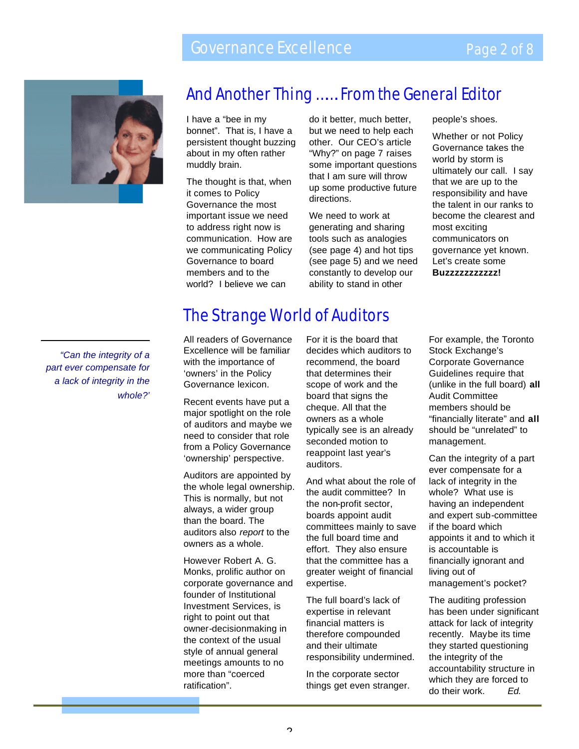# Governance Excellence



# And Another Thing ……. From the General Editor

I have a "bee in my d bonnet". That is, I have a persistent thought buzzing about in my often rather muddly brain.

The thought is that, when it comes to Policy Governance the most important issue we need to address right now is communication. How are we communicating Policy Governance to board members and to the world? I believe we can

do it better, much better, but we need to help each other. Our CEO's article "Why?" on page 7 raises some important questions that I am sure will throw up some productive future directions.

We need to work at generating and sharing tools such as analogies (see page 4) and hot tips (see page 5) and we need constantly to develop our ability to stand in other

people's shoes.

Whether or not Policy Governance takes the world by storm is ultimately our call. I say that we are up to the responsibility and have the talent in our ranks to become the clearest and most exciting communicators on governance yet known. Let's create some

**Buzzzzzzzzzzz!**

*"Can the integrity of a part ever compensate for a lack of integrity in the whole?"*

# The Strange World of Auditors

All readers of Governance Excellence will be familiar with the importance of 'owners' in the Policy Governance lexicon.

Recent events have put a major spotlight on the role of auditors and maybe we need to consider that role from a Policy Governance 'ownership' perspective.

Auditors are appointed by the whole legal ownership. This is normally, but not always, a wider group than the board. The auditors also *report* to the owners as a whole.

However Robert A. G. Monks, prolific author on corporate governance and founder of Institutional Investment Services, is right to point out that owner-decisionmaking in the context of the usual style of annual general meetings amounts to no more than "coerced ratification".

For it is the board that decides which auditors to recommend, the board that determines their scope of work and the board that signs the cheque. All that the owners as a whole typically see is an already seconded motion to reappoint last year's auditors.

And what about the role of the audit committee? In the non-profit sector, boards appoint audit committees mainly to save the full board time and effort. They also ensure that the committee has a greater weight of financial expertise.

The full board's lack of expertise in relevant financial matters is therefore compounded and their ultimate responsibility undermined.

In the corporate sector things get even stranger. For example, the Toronto Stock Exchange's Corporate Governance Guidelines require that (unlike in the full board) **all**  Audit Committee members should be "financially literate" and **all** should be "unrelated" to management.

Can the integrity of a part ever compensate for a lack of integrity in the whole? What use is having an independent and expert sub-committee if the board which appoints it and to which it is accountable is financially ignorant and living out of management's pocket?

The auditing profession has been under significant attack for lack of integrity recently. Maybe its time they started questioning the integrity of the accountability structure in which they are forced to do their work. *Ed.*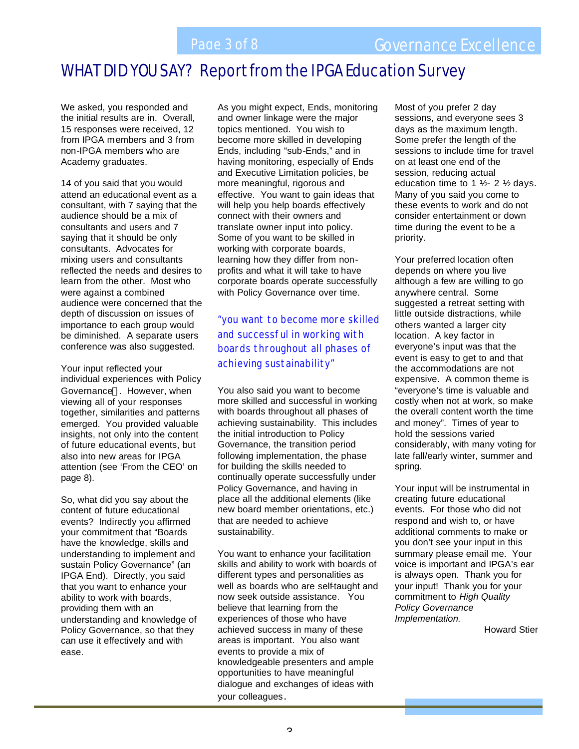# WHAT DID YOU SAY? Report from the IPGA Education Survey

We asked, you responded and the initial results are in. Overall, 15 responses were received, 12 from IPGA members and 3 from non-IPGA members who are Academy graduates.

14 of you said that you would attend an educational event as a consultant, with 7 saying that the audience should be a mix of consultants and users and 7 saying that it should be only consultants. Advocates for mixing users and consultants reflected the needs and desires to learn from the other. Most who were against a combined audience were concerned that the depth of discussion on issues of importance to each group would be diminished. A separate users conference was also suggested.

Your input reflected your individual experiences with Policy Governance®. However, when viewing all of your responses together, similarities and patterns emerged. You provided valuable insights, not only into the content of future educational events, but also into new areas for IPGA attention (see 'From the CEO' on page 8).

So, what did you say about the content of future educational events? Indirectly you affirmed your commitment that "Boards have the knowledge, skills and understanding to implement and sustain Policy Governance" (an IPGA End). Directly, you said that you want to enhance your ability to work with boards, providing them with an understanding and knowledge of Policy Governance, so that they can use it effectively and with ease.

As you might expect, Ends, monitoring and owner linkage were the major topics mentioned. You wish to become more skilled in developing Ends, including "sub-Ends," and in having monitoring, especially of Ends and Executive Limitation policies, be more meaningful, rigorous and effective. You want to gain ideas that will help you help boards effectively connect with their owners and translate owner input into policy. Some of you want to be skilled in working with corporate boards, learning how they differ from nonprofits and what it will take to have corporate boards operate successfully with Policy Governance over time.

*"you want to become more skilled and successful in working with boards throughout all phases of achieving sustainability"*

You also said you want to become more skilled and successful in working with boards throughout all phases of achieving sustainability. This includes the initial introduction to Policy Governance, the transition period following implementation, the phase for building the skills needed to continually operate successfully under Policy Governance, and having in place all the additional elements (like new board member orientations, etc.) that are needed to achieve sustainability.

You want to enhance your facilitation skills and ability to work with boards of different types and personalities as well as boards who are self-taught and now seek outside assistance. You believe that learning from the experiences of those who have achieved success in many of these areas is important. You also want events to provide a mix of knowledgeable presenters and ample opportunities to have meaningful dialogue and exchanges of ideas with your colleagues.

Most of you prefer 2 day sessions, and everyone sees 3 days as the maximum length. Some prefer the length of the sessions to include time for travel on at least one end of the session, reducing actual education time to 1  $\frac{1}{2}$  - 2  $\frac{1}{2}$  days. Many of you said you come to these events to work and do not consider entertainment or down time during the event to be a priority.

Your preferred location often depends on where you live although a few are willing to go anywhere central. Some suggested a retreat setting with little outside distractions, while others wanted a larger city location. A key factor in everyone's input was that the event is easy to get to and that the accommodations are not expensive. A common theme is "everyone's time is valuable and costly when not at work, so make the overall content worth the time and money". Times of year to hold the sessions varied considerably, with many voting for late fall/early winter, summer and spring.

Your input will be instrumental in creating future educational events. For those who did not respond and wish to, or have additional comments to make or you don't see your input in this summary please email me. Your voice is important and IPGA's ear is always open. Thank you for your input! Thank you for your commitment to *High Quality Policy Governance Implementation.*

Howard Stier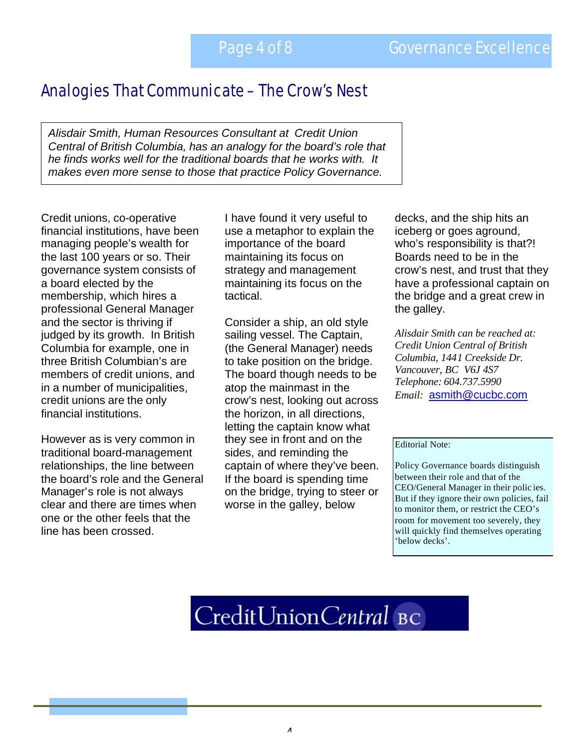# Analogies That Communicate – The Crow's Nest

*Alisdair Smith, Human Resources Consultant at Credit Union Central of British Columbia, has an analogy for the board's role that he finds works well for the traditional boards that he works with. It makes even more sense to those that practice Policy Governance.* 

Credit unions, co-operative financial institutions, have been managing people's wealth for the last 100 years or so. Their governance system consists of a board elected by the membership, which hires a professional General Manager and the sector is thriving if judged by its growth. In British Columbia for example, one in three British Columbian's are members of credit unions, and in a number of municipalities, credit unions are the only financial institutions.

However as is very common in traditional board-management relationships, the line between the board's role and the General Manager's role is not always clear and there are times when one or the other feels that the line has been crossed.

I have found it very useful to use a metaphor to explain the importance of the board maintaining its focus on strategy and management maintaining its focus on the tactical.

Consider a ship, an old style sailing vessel. The Captain, (the General Manager) needs to take position on the bridge. The board though needs to be atop the mainmast in the crow's nest, looking out across the horizon, in all directions, letting the captain know what they see in front and on the sides, and reminding the captain of where they've been. If the board is spending time on the bridge, trying to steer or worse in the galley, below

decks, and the ship hits an iceberg or goes aground, who's responsibility is that?! Boards need to be in the crow's nest, and trust that they have a professional captain on the bridge and a great crew in the galley.

*Alisdair Smith can be reached at: Credit Union Central of British Columbia, 1441 Creekside Dr. Vancouver, BC V6J 4S7 Telephone: 604.737.5990 Email:* asmith@cucbc.com

#### Editorial Note:

Policy Governance boards distinguish between their role and that of the CEO/General Manager in their polic ies. But if they ignore their own policies, fail to monitor them, or restrict the CEO's room for movement too severely, they will quickly find themselves operating 'below decks'.

# CreditUnionCentral BC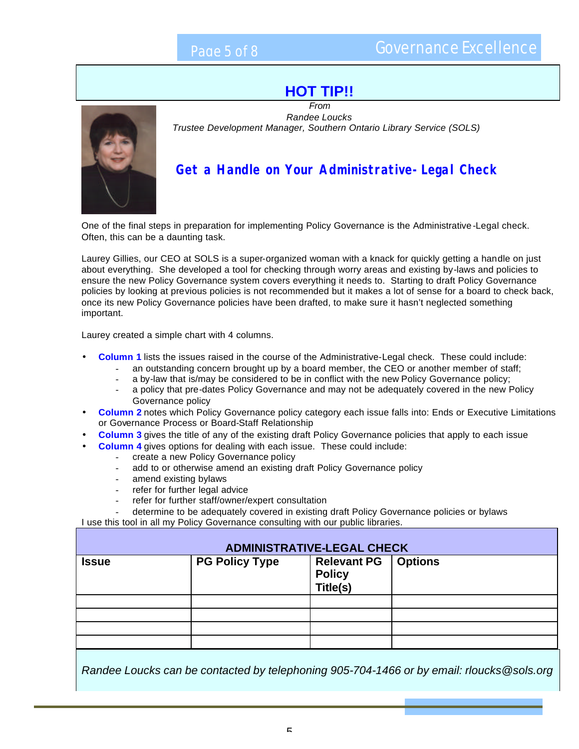### **HOT TIP!!**



#### *From Randee Loucks Trustee Development Manager, Southern Ontario Library Service (SOLS)*

#### **Get a Handle on Your Administrative-Legal Check**

One of the final steps in preparation for implementing Policy Governance is the Administrative -Legal check. Often, this can be a daunting task.

Laurey Gillies, our CEO at SOLS is a super-organized woman with a knack for quickly getting a handle on just about everything. She developed a tool for checking through worry areas and existing by-laws and policies to ensure the new Policy Governance system covers everything it needs to. Starting to draft Policy Governance policies by looking at previous policies is not recommended but it makes a lot of sense for a board to check back, once its new Policy Governance policies have been drafted, to make sure it hasn't neglected something important.

Laurey created a simple chart with 4 columns.

- **Column 1** lists the issues raised in the course of the Administrative-Legal check. These could include:
	- an outstanding concern brought up by a board member, the CEO or another member of staff;
	- a by-law that is/may be considered to be in conflict with the new Policy Governance policy;
	- a policy that pre-dates Policy Governance and may not be adequately covered in the new Policy Governance policy
- **Column 2** notes which Policy Governance policy category each issue falls into: Ends or Executive Limitations or Governance Process or Board-Staff Relationship
- **Column 3** gives the title of any of the existing draft Policy Governance policies that apply to each issue
- **Column 4** gives options for dealing with each issue. These could include:
	- create a new Policy Governance policy
		- add to or otherwise amend an existing draft Policy Governance policy
		- amend existing bylaws
		- refer for further legal advice
		- refer for further staff/owner/expert consultation
- determine to be adequately covered in existing draft Policy Governance policies or bylaws

I use this tool in all my Policy Governance consulting with our public libraries.

| <b>ADMINISTRATIVE-LEGAL CHECK</b> |                       |                                                           |  |
|-----------------------------------|-----------------------|-----------------------------------------------------------|--|
| <b>Issue</b>                      | <b>PG Policy Type</b> | <b>Relevant PG</b>   Options<br><b>Policy</b><br>Title(s) |  |
|                                   |                       |                                                           |  |
|                                   |                       |                                                           |  |
|                                   |                       |                                                           |  |
|                                   |                       |                                                           |  |

*Randee Loucks can be contacted by telephoning 905-704-1466 or by email: rloucks@sols.org*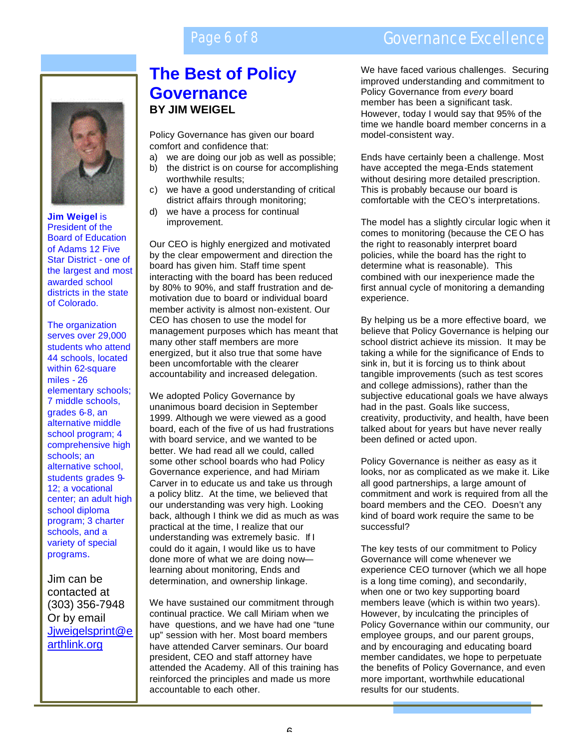### Page 6 of 8 Governance Excellence



**Jim Weigel** is President of the Board of Education of Adams 12 Five Star District - one of the largest and most awarded school districts in the state of Colorado.

The organization serves over 29,000 students who attend 44 schools, located within 62-square miles - 26 elementary schools; 7 middle schools, grades 6-8, an alternative middle school program; 4 comprehensive high schools; an alternative school, students grades 9- 12; a vocational center; an adult high school diploma program; 3 charter schools, and a variety of special programs.

Jim can be contacted at (303) 356-7948 Or by email Jjweigelsprint@e arthlink.org

### **The Best of Policy Governance BY JIM WEIGEL**

Policy Governance has given our board comfort and confidence that:

- a) we are doing our job as well as possible;
- b) the district is on course for accomplishing worthwhile results;
- c) we have a good understanding of critical district affairs through monitoring;
- d) we have a process for continual improvement.

Our CEO is highly energized and motivated by the clear empowerment and direction the board has given him. Staff time spent interacting with the board has been reduced by 80% to 90%, and staff frustration and demotivation due to board or individual board member activity is almost non-existent. Our CEO has chosen to use the model for management purposes which has meant that many other staff members are more energized, but it also true that some have been uncomfortable with the clearer accountability and increased delegation.

We adopted Policy Governance by unanimous board decision in September 1999. Although we were viewed as a good board, each of the five of us had frustrations with board service, and we wanted to be better. We had read all we could, called some other school boards who had Policy Governance experience, and had Miriam Carver in to educate us and take us through a policy blitz. At the time, we believed that our understanding was very high. Looking back, although I think we did as much as was practical at the time, I realize that our understanding was extremely basic. If I could do it again, I would like us to have done more of what we are doing now learning about monitoring, Ends and determination, and ownership linkage.

We have sustained our commitment through continual practice. We call Miriam when we have questions, and we have had one "tune up" session with her. Most board members have attended Carver seminars. Our board president, CEO and staff attorney have attended the Academy. All of this training has reinforced the principles and made us more accountable to each other.

We have faced various challenges. Securing improved understanding and commitment to Policy Governance from *every* board member has been a significant task. However, today I would say that 95% of the time we handle board member concerns in a model-consistent way.

Ends have certainly been a challenge. Most have accepted the mega-Ends statement without desiring more detailed prescription. This is probably because our board is comfortable with the CEO's interpretations.

The model has a slightly circular logic when it comes to monitoring (because the CE O has the right to reasonably interpret board policies, while the board has the right to determine what is reasonable). This combined with our inexperience made the first annual cycle of monitoring a demanding experience.

By helping us be a more effective board, we believe that Policy Governance is helping our school district achieve its mission. It may be taking a while for the significance of Ends to sink in, but it is forcing us to think about tangible improvements (such as test scores and college admissions), rather than the subjective educational goals we have always had in the past. Goals like success, creativity, productivity, and health, have been talked about for years but have never really been defined or acted upon.

Policy Governance is neither as easy as it looks, nor as complicated as we make it. Like all good partnerships, a large amount of commitment and work is required from all the board members and the CEO. Doesn't any kind of board work require the same to be successful?

The key tests of our commitment to Policy Governance will come whenever we experience CEO turnover (which we all hope is a long time coming), and secondarily, when one or two key supporting board members leave (which is within two years). However, by inculcating the principles of Policy Governance within our community, our employee groups, and our parent groups, and by encouraging and educating board member candidates, we hope to perpetuate the benefits of Policy Governance, and even more important, worthwhile educational results for our students.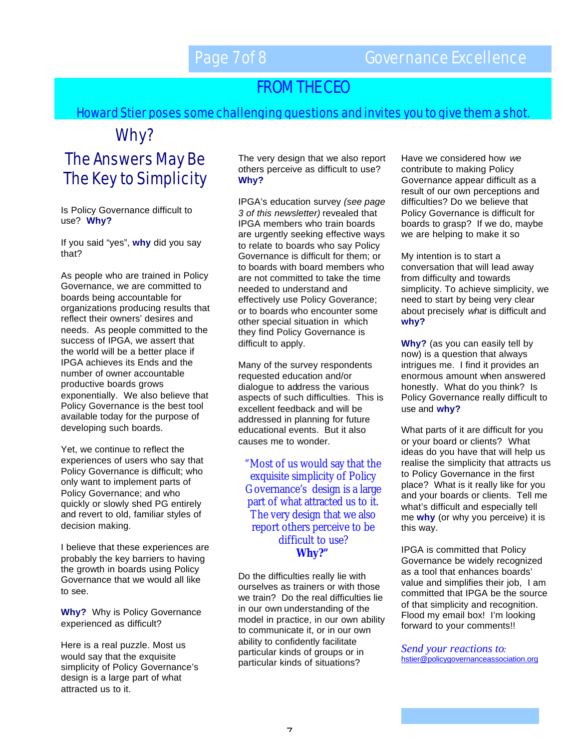# FROM THE CEO

Howard Stier poses some challenging questions and invites you to give them a shot.

# Why?

Page 6 of 8

# The Answers May Be The Key to Simplicity

Is Policy Governance difficult to use? **Why?** 

If you said "yes", **why** did you say that?

As people who are trained in Policy Governance, we are committed to boards being accountable for organizations producing results that reflect their owners' desires and needs. As people committed to the success of IPGA, we assert that the world will be a better place if IPGA achieves its Ends and the number of owner accountable productive boards grows exponentially. We also believe that Policy Governance is the best tool available today for the purpose of developing such boards.

Yet, we continue to reflect the experiences of users who say that Policy Governance is difficult; who only want to implement parts of Policy Governance; and who quickly or slowly shed PG entirely and revert to old, familiar styles of decision making.

I believe that these experiences are probably the key barriers to having the growth in boards using Policy Governance that we would all like to see.

**Why?** Why is Policy Governance experienced as difficult?

Here is a real puzzle. Most us would say that the exquisite simplicity of Policy Governance's design is a large part of what attracted us to it.

The very design that we also report others perceive as difficult to use? **Why?**

IPGA's education survey *(see page 3 of this newsletter)* revealed that IPGA members who train boards are urgently seeking effective ways to relate to boards who say Policy Governance is difficult for them; or to boards with board members who are not committed to take the time needed to understand and effectively use Policy Goverance; or to boards who encounter some other special situation in which they find Policy Governance is difficult to apply.

Many of the survey respondents requested education and/or dialogue to address the various aspects of such difficulties. This is excellent feedback and will be addressed in planning for future educational events. But it also causes me to wonder.

"Most of us would say that the exquisite simplicity of Policy Governance's design is a large part of what attracted us to it. The very design that we also report others perceive to be difficult to use? **Why?"**

Do the difficulties really lie with ourselves as trainers or with those we train? Do the real difficulties lie in our own understanding of the model in practice, in our own ability to communicate it, or in our own ability to confidently facilitate particular kinds of groups or in particular kinds of situations?

Have we considered how *we*  contribute to making Policy Governance appear difficult as a result of our own perceptions and difficulties? Do we believe that Policy Governance is difficult for boards to grasp? If we do, maybe we are helping to make it so

My intention is to start a conversation that will lead away from difficulty and towards simplicity. To achieve simplicity, we need to start by being very clear about precisely *what* is difficult and **why?**

**Why?** (as you can easily tell by now) is a question that always intrigues me. I find it provides an enormous amount when answered honestly. What do you think? Is Policy Governance really difficult to use and **why?**

What parts of it are difficult for you or your board or clients? What ideas do you have that will help us realise the simplicity that attracts us to Policy Governance in the first place? What is it really like for you and your boards or clients. Tell me what's difficult and especially tell me **why** (or why you perceive) it is this way.

IPGA is committed that Policy Governance be widely recognized as a tool that enhances boards' value and simplifies their job, I am committed that IPGA be the source of that simplicity and recognition. Flood my email box! I'm looking forward to your comments!!

*Send your reactions to:*  hstier@policygovernanceassociation.org